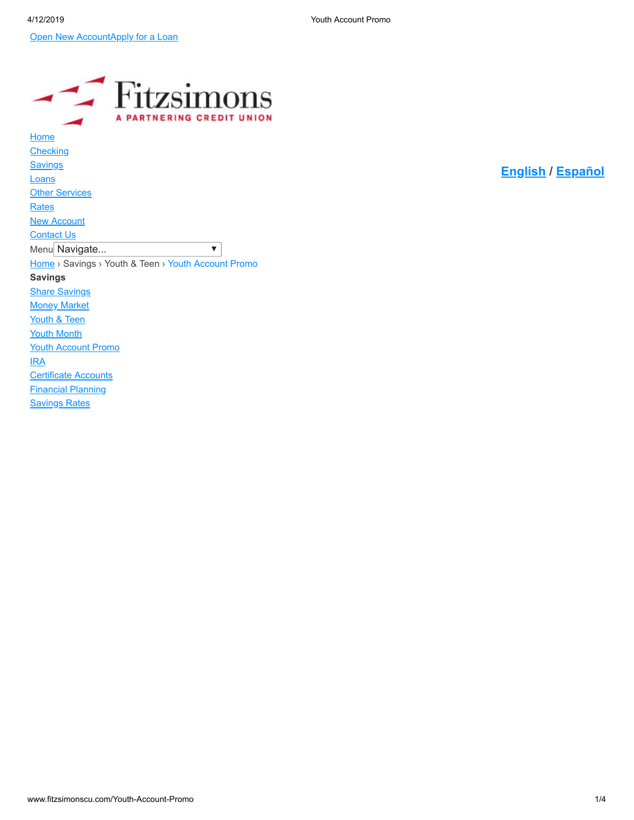**[Open New Account](https://cs.loanspq.com/consumer/v2/login/landing.aspx?enc2=iSWJzH429lsQnZMCJpKt_RSo_KMRyFhMvV_6dw3CyDa0yytDzgChgEsaImGuHFtIUqYRRf2U0sh7XVQjz3xMC2WIsjf8LG9mlrIQjnaz5zYS55iHaq_FFDOLRsm7ZS_r)[Apply for a Loan](http://www.fitzsimonscu.com/Loans/Loan-Application)** 

| <b>Fitzsimons</b><br><b>NERING CREDIT UNI</b>       |
|-----------------------------------------------------|
| Home                                                |
| <b>Checking</b>                                     |
| <u>Savings</u>                                      |
| Loans                                               |
| <b>Other Services</b>                               |
| <b>Rates</b>                                        |
| <b>New Account</b>                                  |
| <b>Contact Us</b>                                   |
| Menu Navigate<br>v                                  |
| Home > Savings > Youth & Teen > Youth Account Promo |
| <b>Savings</b>                                      |
| <b>Share Savings</b>                                |
| <b>Money Market</b>                                 |
| Youth & Teen                                        |
| <b>Youth Month</b>                                  |
| <b>Youth Account Promo</b>                          |
| <b>IRA</b>                                          |
| <b>Certificate Accounts</b>                         |
| <b>Financial Planning</b>                           |
| <b><u>Savings Rates</u></b>                         |

**[English](https://www.fitzsimonscu.com/) / [Español](https://www.fitzsimonscu.com/spanish)**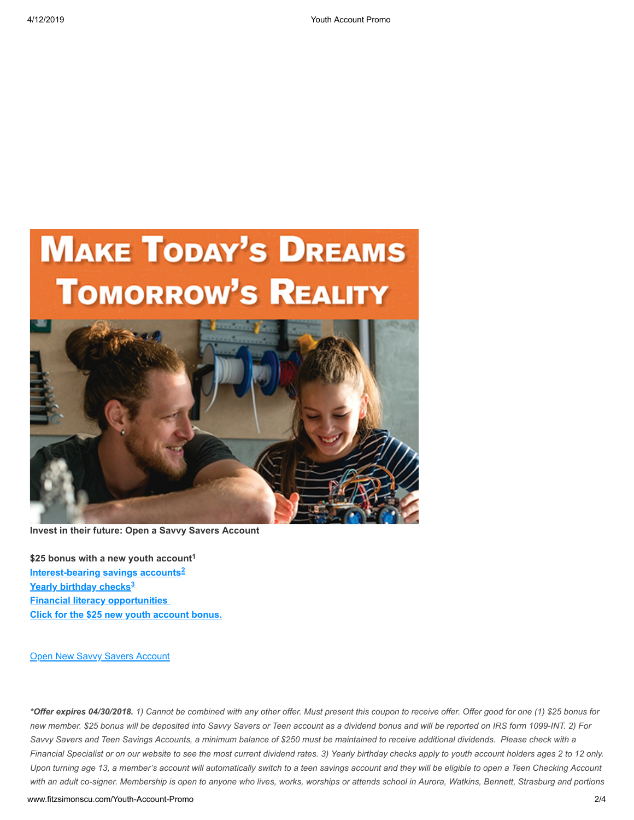# **MAKE TODAY'S DREAMS TOMORROW'S REALITY**



**Invest in their future: Open a Savvy Savers Account**

**\$25 bonus with a new youth account 1 [Interest-bearing savings accounts](http://www.fitzsimonscu.com/Savings/Youth-Teen) 2 [Yearly birthday checks](http://www.fitzsimonscu.com/Savings/Youth-Teen/Birthday-Checks) 3[Financial literacy opportunities](http://www.fitzsimonscu.com/Other-Services/Financial-Education)  [Click for the \\$25 new youth account bonus.](http://www.fitzsimonscu.com/Portals/0/Docs/Youth%20Account%20Promo%20APRIL.pdf?ver=2018-03-31-122557-513)**

**[Open New Savvy Savers Account](https://cs.loanspq.com/consumer/v2/login/landing.aspx?enc2=iSWJzH429lsQnZMCJpKt_RSo_KMRyFhMvV_6dw3CyDa0yytDzgChgEsaImGuHFtIUqYRRf2U0sh7XVQjz3xMC2WIsjf8LG9mlrIQjnaz5zYS55iHaq_FFDOLRsm7ZS_r)** 

*\*Offer expires 04/30/2018. 1) Cannot be combined with any other offer. Must present this coupon to receive offer. Offer good for one (1) \$25 bonus for new member. \$25 bonus will be deposited into Savvy Savers or Teen account as a dividend bonus and will be reported on IRS form 1099-INT. 2) For Savvy Savers and Teen Savings Accounts, a minimum balance of \$250 must be maintained to receive additional dividends. Please check with a Financial Specialist or on our website to see the most current dividend rates. 3) Yearly birthday checks apply to youth account holders ages 2 to 12 only. Upon turning age 13, a member's account will automatically switch to a teen savings account and they will be eligible to open a Teen Checking Account with an adult co-signer. Membership is open to anyone who lives, works, worships or attends school in Aurora, Watkins, Bennett, Strasburg and portions*

www.fitzsimonscu.com/Youth-Account-Promo 2/4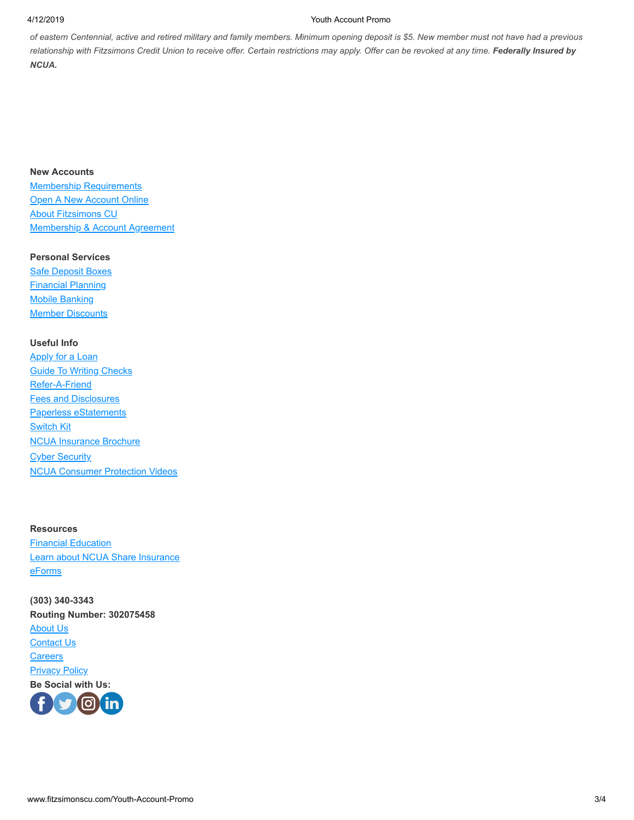#### 4/12/2019 Youth Account Promo

*of eastern Centennial, active and retired military and family members. Minimum opening deposit is \$5. New member must not have had a previous* relationship with Fitzsimons Credit Union to receive offer. Certain restrictions may apply. Offer can be revoked at any time. Federally Insured by *NCUA.*

## **New Accounts**

[Membership Requirements](http://www.fitzsimonscu.com/NewAccount.aspx) **[Open A New Account Online](https://cs.loanspq.com/consumer/v2/login/landing.aspx?enc2=iSWJzH429lsQnZMCJpKt_RSo_KMRyFhMvV_6dw3CyDa0yytDzgChgEsaImGuHFtIUqYRRf2U0sh7XVQjz3xMC2WIsjf8LG9mlrIQjnaz5zYS55iHaq_FFDOLRsm7ZS_r) [About Fitzsimons CU](http://www.fitzsimonscu.com/ContactUs/History.aspx)** [Membership & Account Agreement](http://www.fitzsimonscu.com/Portals/0/PDFs/Membership%20and%20Acct%20Agrmt_CMG%20Loanliner%20D1000A-e_2013.pdf)

### **Personal Services**

**[Safe Deposit Boxes](http://www.fitzsimonscu.com/OtherServices/SafeDepositBoxes.aspx)** [Financial Planning](http://www.fitzsimonscu.com/Savings/FinancialPlanning.aspx) [Mobile Banking](http://www.fitzsimonscu.com/Online-MobileBanking) **[Member Discounts](http://www.fitzsimonscu.com/OtherServices/MemberDiscounts.aspx)** 

# **Useful Info**

[Apply for a Loan](http://www.fitzsimonscu.com/Loans/LoanApplication.aspx) [Guide To Writing Checks](http://www.fitzsimonscu.com/OtherServices/WritingChecks.aspx) [Refer-A-Friend](http://www.fitzsimonscu.com/Refer-A-Friend) [Fees and Disclosures](http://www.fitzsimonscu.com/fees-disclosures) [Paperless eStatements](http://www.fitzsimonscu.com/Checking/OnlineServices/EStatements.aspx) **[Switch Kit](http://www.fitzsimonscu.com/Portals/0/SwitchKit2015.pdf)** [NCUA Insurance Brochure](http://www.fitzsimonscu.com/Portals/0/PDFs/ncuayourinsuredfunds2015.pdf) **[Cyber Security](http://www.fitzsimonscu.com/OtherServices/CyberSecurity.aspx)** [NCUA Consumer Protection Videos](https://www.youtube.com/playlist?list=PL--na5_QagEh3V0FQTi1T71jZThMixuEG&feature=view_all)

#### **Resources**

**[Financial Education](http://www.fitzsimonscu.com/OtherServices/FinancialEducation.aspx)** [Learn about NCUA Share Insurance](http://www.ncua.gov/Pages/default.aspx) [eForms](http://www.fitzsimonscu.com/OtherServices/eForms.aspx)

**(303) 340-3343 Routing Number: 302075458** [About Us](http://www.fitzsimonscu.com/ContactUs/History.aspx) [Contact Us](http://www.fitzsimonscu.com/ContactUs.aspx) **[Careers](javascript:void(window.open() [Privacy Policy](http://www.fitzsimonscu.com/PrivacyStatement.aspx) Be Social with Us:**